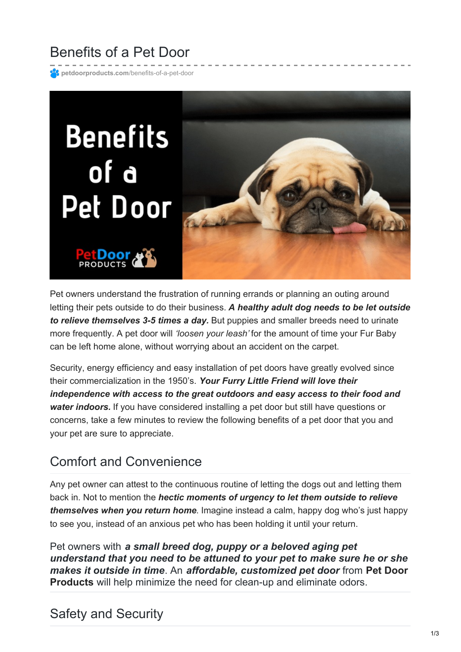# Benefits of a Pet Door

**[petdoorproducts.com](https://petdoorproducts.com/benefits-of-a-pet-door/)**/benefits-of-a-pet-door



Pet owners understand the frustration of running errands or planning an outing around letting their pets outside to do their business. *A healthy adult dog needs to be let outside to relieve themselves 3-5 times a day.* But puppies and smaller breeds need to urinate more frequently. A pet door will *'loosen your leash'* for the amount of time your Fur Baby can be left home alone, without worrying about an accident on the carpet.

Security, energy efficiency and easy installation of pet doors have greatly evolved since their commercialization in the 1950's. *Your Furry Little Friend will love their independence with access to the great outdoors and easy access to their food and water indoors.* If you have considered installing a pet door but still have questions or concerns, take a few minutes to review the following benefits of a pet door that you and your pet are sure to appreciate.

### Comfort and Convenience

Any pet owner can attest to the continuous routine of letting the dogs out and letting them back in. Not to mention the *hectic moments of urgency to let them outside to relieve themselves when you return home*. Imagine instead a calm, happy dog who's just happy to see you, instead of an anxious pet who has been holding it until your return.

Pet owners with *a small breed dog, puppy or a beloved aging pet understand that you need to be attuned to your pet to make sure he or she makes it outside in time*. An *affordable, [customized](https://petdoorproducts.com/how-it-works/) pet door* from **Pet Door Products** will help minimize the need for clean-up and eliminate odors.

### Safety and Security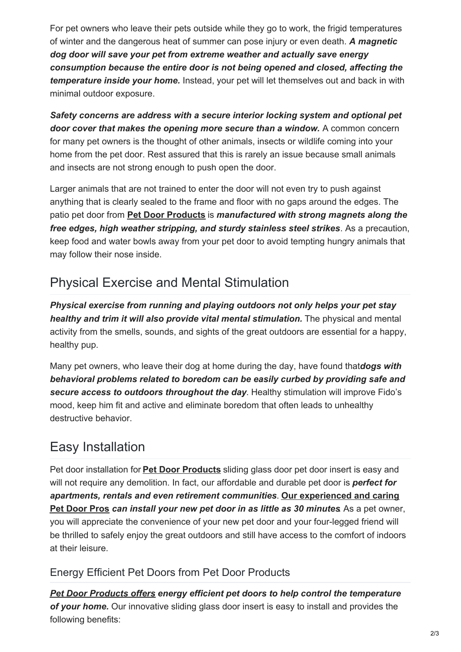For pet owners who leave their pets outside while they go to work, the frigid temperatures of winter and the dangerous heat of summer can pose injury or even death. *A magnetic dog door will save your pet from extreme weather and actually save energy consumption because the entire door is not being opened and closed, affecting the temperature inside your home.* Instead, your pet will let themselves out and back in with minimal outdoor exposure.

*Safety concerns are address with a secure interior locking system and optional pet door cover that makes the opening more secure than a window.* A common concern for many pet owners is the thought of other animals, insects or wildlife coming into your home from the pet door. Rest assured that this is rarely an issue because small animals and insects are not strong enough to push open the door.

Larger animals that are not trained to enter the door will not even try to push against anything that is clearly sealed to the frame and floor with no gaps around the edges. The patio pet door from **Pet Door [Products](https://petdoorproducts.com/product/sliding-glass-dog-door/)** is *manufactured with strong magnets along the free edges, high weather stripping, and sturdy stainless steel strikes*. As a precaution, keep food and water bowls away from your pet door to avoid tempting hungry animals that may follow their nose inside.

## Physical Exercise and Mental Stimulation

*Physical exercise from running and playing outdoors not only helps your pet stay healthy and trim it will also provide vital mental stimulation.* The physical and mental activity from the smells, sounds, and sights of the great outdoors are essential for a happy, healthy pup.

Many pet owners, who leave their dog at home during the day, have found that*dogs with behavioral problems related to boredom can be easily curbed by providing safe and secure access to outdoors throughout the day*. Healthy stimulation will improve Fido's mood, keep him fit and active and eliminate boredom that often leads to unhealthy destructive behavior.

## Easy Installation

Pet door installation for **Pet Door [Products](https://petdoorproducts.com/)** sliding glass door pet door insert is easy and will not require any demolition. In fact, our affordable and durable pet door is *perfect for apartments, rentals and even retirement [communities](https://petdoorproducts.com/professional-pet-door-installer-in-utah/)*. **Our experienced and caring Pet Door Pros** *can install your new pet door in as little as 30 minutes*. As a pet owner, you will appreciate the convenience of your new pet door and your four-legged friend will be thrilled to safely enjoy the great outdoors and still have access to the comfort of indoors at their leisure.

#### Energy Efficient Pet Doors from Pet Door Products

*Pet Door [Products](https://petdoorproducts.com/shop/) offers energy efficient pet doors to help control the temperature of your home.* Our innovative sliding glass door insert is easy to install and provides the following benefits: